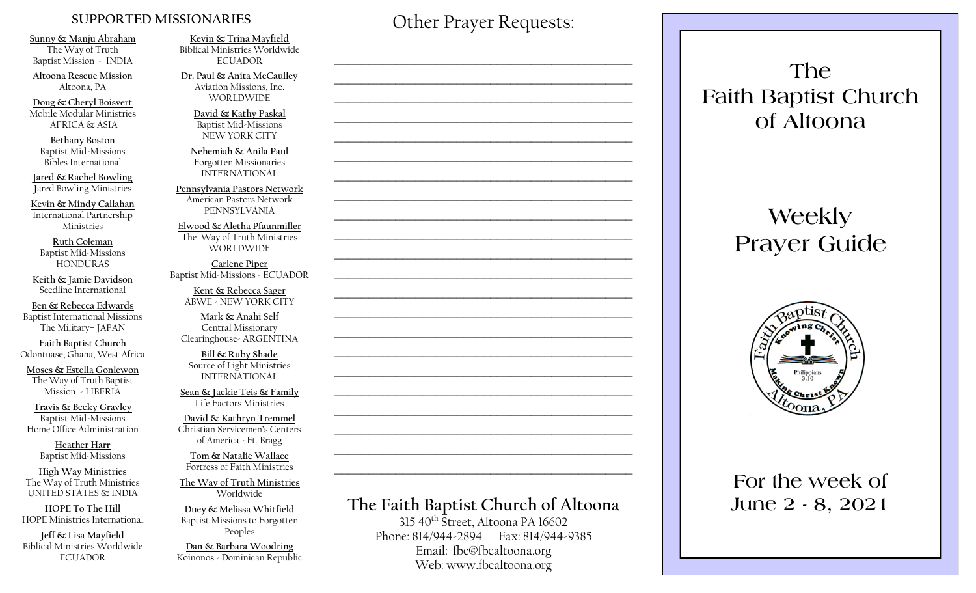#### **SUPPORTED MISSIONARIES**

**Sunny & Manju Abraham**  The Way of Truth Baptist Mission - INDIA

**Altoona Rescue Mission** Altoona, PA

**Doug & Cheryl Boisvert** Mobile Modular Ministries AFRICA & ASIA

**Bethany Boston** Baptist Mid-Missions Bibles International

**Jared & Rachel Bowling** Jared Bowling Ministries

**Kevin & Mindy Callahan** International Partnership Ministries

**Ruth Coleman** Baptist Mid-Missions HONDURAS

**Keith & Jamie Davidson** Seedline International

**Ben & Rebecca Edwards** Baptist International Missions The Military– JAPAN

**Faith Baptist Church** Odontuase, Ghana, West Africa

**Moses & Estella Gonlewon** The Way of Truth Baptist Mission - LIBERIA

**Travis & Becky Gravley**  Baptist Mid-Missions Home Office Administration

> **Heather Harr** Baptist Mid-Missions

**High Way Ministries** The Way of Truth Ministries UNITED STATES & INDIA

**HOPE To The Hill** HOPE Ministries International

**Jeff & Lisa Mayfield** Biblical Ministries Worldwide **ECUADOR** 

**Kevin & Trina Mayfield** Biblical Ministries Worldwide ECUADOR

**Dr. Paul & Anita McCaulley** Aviation Missions, Inc. WORLDWIDE

> **David & Kathy Paskal** Baptist Mid-Missions NEW YORK CITY

**Nehemiah & Anila Paul** Forgotten Missionaries INTERNATIONAL

**Pennsylvania Pastors Network** American Pastors Network PENNSYLVANIA

**Elwood & Aletha Pfaunmiller** The Way of Truth Ministries WORLDWIDE

**Carlene Piper** Baptist Mid-Missions - ECUADOR

> **Kent & Rebecca Sager** ABWE - NEW YORK CITY

**Mark & Anahi Self** Central Missionary Clearinghouse- ARGENTINA

**Bill & Ruby Shade** Source of Light Ministries INTERNATIONAL

**Sean & Jackie Teis & Family** Life Factors Ministries

**David & Kathryn Tremmel**  Christian Servicemen's Centers of America - Ft. Bragg

**Tom & Natalie Wallace** Fortress of Faith Ministries

**The Way of Truth Ministries**  Worldwide

**Duey & Melissa Whitfield** Baptist Missions to Forgotten Peoples

**Dan & Barbara Woodring**  Koinonos - Dominican Republic Other Prayer Requests:

 $\mathcal{L}_\text{max}$  and  $\mathcal{L}_\text{max}$  and  $\mathcal{L}_\text{max}$  and  $\mathcal{L}_\text{max}$  and  $\mathcal{L}_\text{max}$ 

 $\mathcal{L}_\text{max}$  , and the contract of the contract of the contract of the contract of the contract of the contract of the contract of the contract of the contract of the contract of the contract of the contract of the contr

 $\mathcal{L}_\text{max}$  and  $\mathcal{L}_\text{max}$  and  $\mathcal{L}_\text{max}$  and  $\mathcal{L}_\text{max}$  and  $\mathcal{L}_\text{max}$ 

 $\mathcal{L}_\text{max}$  and  $\mathcal{L}_\text{max}$  and  $\mathcal{L}_\text{max}$  and  $\mathcal{L}_\text{max}$  and  $\mathcal{L}_\text{max}$ 

 $\mathcal{L}_\text{max}$  , and the contract of the contract of the contract of the contract of the contract of the contract of the contract of the contract of the contract of the contract of the contract of the contract of the contr

 $\mathcal{L}_\text{max}$  , and the contract of the contract of the contract of the contract of the contract of the contract of the contract of the contract of the contract of the contract of the contract of the contract of the contr

# **The Faith Baptist Church of Altoona**   $315\,40^{th}$  Street, Altoona PA 16602  $\mathcal{L}_\text{max}$  , and the contract of the contract of the contract of the contract of the contract of the contract of the contract of the contract of the contract of the contract of the contract of the contract of the contr  $\mathcal{L}_\text{max}$  and  $\mathcal{L}_\text{max}$  and  $\mathcal{L}_\text{max}$  and  $\mathcal{L}_\text{max}$  and  $\mathcal{L}_\text{max}$  $\mathcal{L}_\text{max}$  , and the contract of the contract of the contract of the contract of the contract of the contract of the contract of the contract of the contract of the contract of the contract of the contract of the contr  $\mathcal{L}_\text{max}$  , and the contract of the contract of the contract of the contract of the contract of the contract of the contract of the contract of the contract of the contract of the contract of the contract of the contr  $\mathcal{L}_\text{max}$  , and the contract of the contract of the contract of the contract of the contract of the contract of the contract of the contract of the contract of the contract of the contract of the contract of the contr  $\mathcal{L}_\text{max}$  , and the contract of the contract of the contract of the contract of the contract of the contract of the contract of the contract of the contract of the contract of the contract of the contract of the contr  $\mathcal{L}_\text{max}$  and  $\mathcal{L}_\text{max}$  and  $\mathcal{L}_\text{max}$  and  $\mathcal{L}_\text{max}$  and  $\mathcal{L}_\text{max}$  $\mathcal{L}_\text{max}$  , and the contract of the contract of the contract of the contract of the contract of the contract of the contract of the contract of the contract of the contract of the contract of the contract of the contr  $\mathcal{L}_\text{max}$  , and the contract of the contract of the contract of the contract of the contract of the contract of the contract of the contract of the contract of the contract of the contract of the contract of the contr

Phone: 814/944-2894 Fax: 814/944-9385 Email: fbc@fbcaltoona.org Web: www.fbcaltoona.org

## **The Faith Baptist Church of Altoona**

## **Weekly Prayer Guide**



## **For the week of June 2 - 8, 2021**